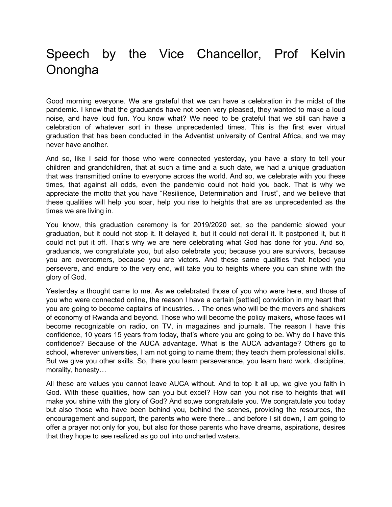## Speech by the Vice Chancellor, Prof Kelvin Onongha

Good morning everyone. We are grateful that we can have a celebration in the midst of the pandemic. I know that the graduands have not been very pleased, they wanted to make a loud noise, and have loud fun. You know what? We need to be grateful that we still can have a celebration of whatever sort in these unprecedented times. This is the first ever virtual graduation that has been conducted in the Adventist university of Central Africa, and we may never have another.

And so, like I said for those who were connected yesterday, you have a story to tell your children and grandchildren, that at such a time and a such date, we had a unique graduation that was transmitted online to everyone across the world. And so, we celebrate with you these times, that against all odds, even the pandemic could not hold you back. That is why we appreciate the motto that you have "Resilience, Determination and Trust", and we believe that these qualities will help you soar, help you rise to heights that are as unprecedented as the times we are living in.

You know, this graduation ceremony is for 2019/2020 set, so the pandemic slowed your graduation, but it could not stop it. It delayed it, but it could not derail it. It postponed it, but it could not put it off. That's why we are here celebrating what God has done for you. And so, graduands, we congratulate you, but also celebrate you; because you are survivors, because you are overcomers, because you are victors. And these same qualities that helped you persevere, and endure to the very end, will take you to heights where you can shine with the glory of God.

Yesterday a thought came to me. As we celebrated those of you who were here, and those of you who were connected online, the reason I have a certain [settled] conviction in my heart that you are going to become captains of industries… The ones who will be the movers and shakers of economy of Rwanda and beyond. Those who will become the policy makers, whose faces will become recognizable on radio, on TV, in magazines and journals. The reason I have this confidence, 10 years 15 years from today, that's where you are going to be. Why do I have this confidence? Because of the AUCA advantage. What is the AUCA advantage? Others go to school, wherever universities, I am not going to name them; they teach them professional skills. But we give you other skills. So, there you learn perseverance, you learn hard work, discipline, morality, honesty…

All these are values you cannot leave AUCA without. And to top it all up, we give you faith in God. With these qualities, how can you but excel? How can you not rise to heights that will make you shine with the glory of God? And so,we congratulate you. We congratulate you today but also those who have been behind you, behind the scenes, providing the resources, the encouragement and support, the parents who were there... and before I sit down, I am going to offer a prayer not only for you, but also for those parents who have dreams, aspirations, desires that they hope to see realized as go out into uncharted waters.